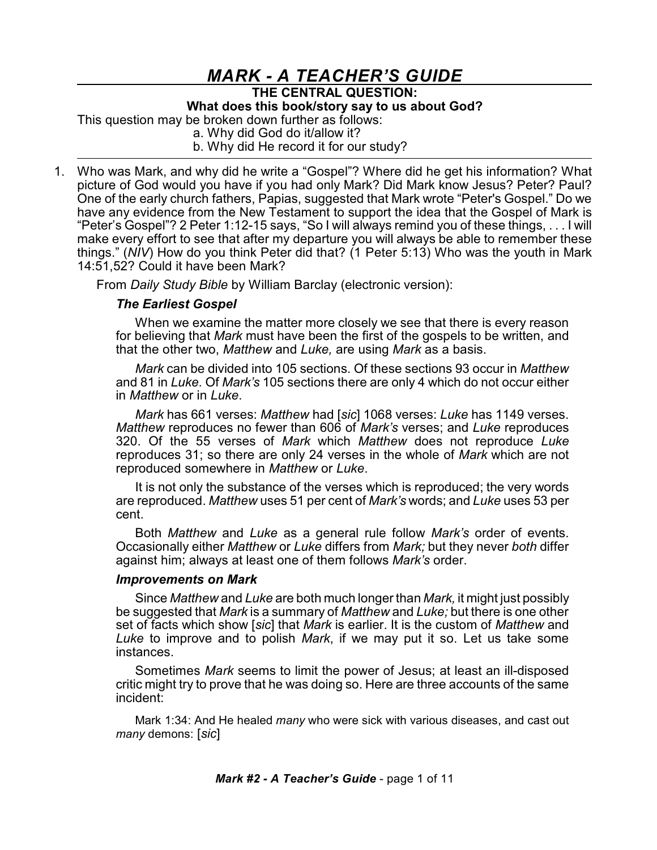## *MARK - A TEACHER'S GUIDE* **THE CENTRAL QUESTION: What does this book/story say to us about God?** This question may be broken down further as follows: a. Why did God do it/allow it? b. Why did He record it for our study?

1. Who was Mark, and why did he write a "Gospel"? Where did he get his information? What picture of God would you have if you had only Mark? Did Mark know Jesus? Peter? Paul? One of the early church fathers, Papias, suggested that Mark wrote "Peter's Gospel." Do we have any evidence from the New Testament to support the idea that the Gospel of Mark is "Peter's Gospel"? 2 Peter 1:12-15 says, "So I will always remind you of these things, . . . I will make every effort to see that after my departure you will always be able to remember these things." (*NIV*) How do you think Peter did that? (1 Peter 5:13) Who was the youth in Mark 14:51,52? Could it have been Mark?

From *Daily Study Bible* by William Barclay (electronic version):

## *The Earliest Gospel*

When we examine the matter more closely we see that there is every reason for believing that *Mark* must have been the first of the gospels to be written, and that the other two, *Matthew* and *Luke,* are using *Mark* as a basis.

*Mark* can be divided into 105 sections. Of these sections 93 occur in *Matthew* and 81 in *Luke.* Of *Mark's* 105 sections there are only 4 which do not occur either in *Matthew* or in *Luke*.

*Mark* has 661 verses: *Matthew* had [*sic*] 1068 verses: *Luke* has 1149 verses. *Matthew* reproduces no fewer than 606 of *Mark's* verses; and *Luke* reproduces 320. Of the 55 verses of *Mark* which *Matthew* does not reproduce *Luke* reproduces 31; so there are only 24 verses in the whole of *Mark* which are not reproduced somewhere in *Matthew* or *Luke*.

It is not only the substance of the verses which is reproduced; the very words are reproduced. *Matthew* uses 51 per cent of *Mark's* words; and *Luke* uses 53 per cent.

Both *Matthew* and *Luke* as a general rule follow *Mark's* order of events. Occasionally either *Matthew* or *Luke* differs from *Mark;* but they never *both* differ against him; always at least one of them follows *Mark's* order.

## *Improvements on Mark*

Since *Matthew* and *Luke* are both much longer than *Mark,* it might just possibly be suggested that *Mark* is a summary of *Matthew* and *Luke;* but there is one other set of facts which show [*sic*] that *Mark* is earlier. It is the custom of *Matthew* and *Luke* to improve and to polish *Mark*, if we may put it so. Let us take some instances.

Sometimes *Mark* seems to limit the power of Jesus; at least an ill-disposed critic might try to prove that he was doing so. Here are three accounts of the same incident:

Mark 1:34: And He healed *many* who were sick with various diseases, and cast out *many* demons: [*sic*]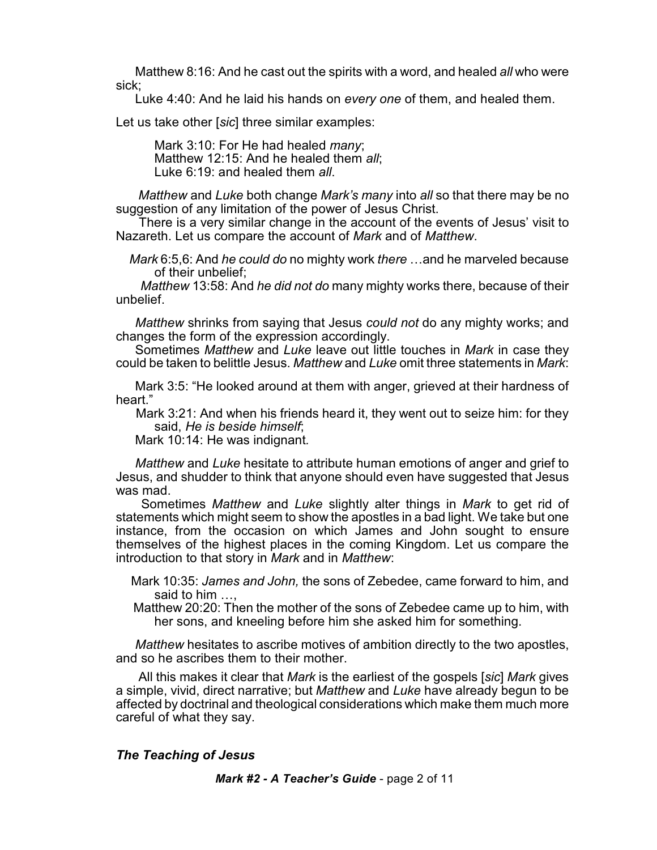Matthew 8:16: And he cast out the spirits with a word, and healed *all* who were sick;

Luke 4:40: And he laid his hands on *every one* of them, and healed them.

Let us take other [*sic*] three similar examples:

Mark 3:10: For He had healed *many*; Matthew 12:15: And he healed them *all*; Luke 6:19: and healed them *all*.

*Matthew* and *Luke* both change *Mark's many* into *all* so that there may be no suggestion of any limitation of the power of Jesus Christ.

There is a very similar change in the account of the events of Jesus' visit to Nazareth. Let us compare the account of *Mark* and of *Matthew*.

*Mark* 6:5,6: And *he could do* no mighty work *there* …and he marveled because of their unbelief;

*Matthew* 13:58: And *he did not do* many mighty works there, because of their unbelief.

*Matthew* shrinks from saying that Jesus *could not* do any mighty works; and changes the form of the expression accordingly.

Sometimes *Matthew* and *Luke* leave out little touches in *Mark* in case they could be taken to belittle Jesus. *Matthew* and *Luke* omit three statements in *Mark*:

Mark 3:5: "He looked around at them with anger, grieved at their hardness of heart."

Mark 3:21: And when his friends heard it, they went out to seize him: for they said, *He is beside himself*;

Mark 10:14: He was indignant*.*

*Matthew* and *Luke* hesitate to attribute human emotions of anger and grief to Jesus, and shudder to think that anyone should even have suggested that Jesus was mad.

Sometimes *Matthew* and *Luke* slightly alter things in *Mark* to get rid of statements which might seem to show the apostles in a bad light. We take but one instance, from the occasion on which James and John sought to ensure themselves of the highest places in the coming Kingdom. Let us compare the introduction to that story in *Mark* and in *Matthew*:

Mark 10:35: *James and John,* the sons of Zebedee, came forward to him, and said to him …,

Matthew 20:20: Then the mother of the sons of Zebedee came up to him, with her sons, and kneeling before him she asked him for something.

*Matthew* hesitates to ascribe motives of ambition directly to the two apostles, and so he ascribes them to their mother.

All this makes it clear that *Mark* is the earliest of the gospels [*sic*] *Mark* gives a simple, vivid, direct narrative; but *Matthew* and *Luke* have already begun to be affected by doctrinal and theological considerations which make them much more careful of what they say.

## *The Teaching of Jesus*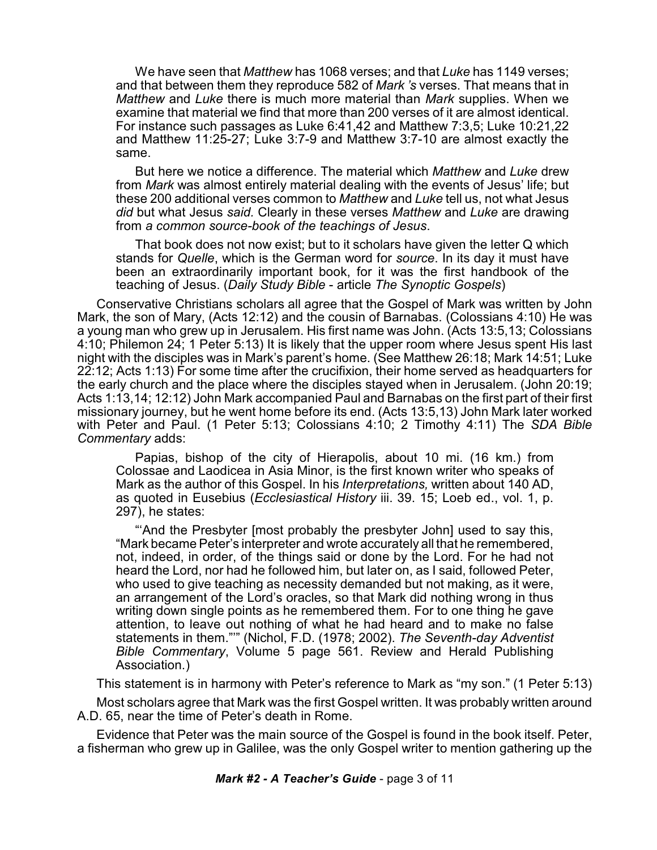We have seen that *Matthew* has 1068 verses; and that *Luke* has 1149 verses; and that between them they reproduce 582 of *Mark 's* verses. That means that in *Matthew* and *Luke* there is much more material than *Mark* supplies. When we examine that material we find that more than 200 verses of it are almost identical. For instance such passages as Luke 6:41,42 and Matthew 7:3,5; Luke 10:21,22 and Matthew 11:25-27; Luke 3:7-9 and Matthew 3:7-10 are almost exactly the same.

But here we notice a difference. The material which *Matthew* and *Luke* drew from *Mark* was almost entirely material dealing with the events of Jesus' life; but these 200 additional verses common to *Matthew* and *Luke* tell us, not what Jesus *did* but what Jesus *said.* Clearly in these verses *Matthew* and *Luke* are drawing from *a common source-book of the teachings of Jesus*.

That book does not now exist; but to it scholars have given the letter Q which stands for *Quelle*, which is the German word for *source*. In its day it must have been an extraordinarily important book, for it was the first handbook of the teaching of Jesus. (*Daily Study Bible* - article *The Synoptic Gospels*)

Conservative Christians scholars all agree that the Gospel of Mark was written by John Mark, the son of Mary, (Acts 12:12) and the cousin of Barnabas. (Colossians 4:10) He was a young man who grew up in Jerusalem. His first name was John. (Acts 13:5,13; Colossians 4:10; Philemon 24; 1 Peter 5:13) It is likely that the upper room where Jesus spent His last night with the disciples was in Mark's parent's home. (See Matthew 26:18; Mark 14:51; Luke 22:12; Acts 1:13) For some time after the crucifixion, their home served as headquarters for the early church and the place where the disciples stayed when in Jerusalem. (John 20:19; Acts 1:13,14; 12:12) John Mark accompanied Paul and Barnabas on the first part of their first missionary journey, but he went home before its end. (Acts 13:5,13) John Mark later worked with Peter and Paul. (1 Peter 5:13; Colossians 4:10; 2 Timothy 4:11) The *SDA Bible Commentary* adds:

Papias, bishop of the city of Hierapolis, about 10 mi. (16 km.) from Colossae and Laodicea in Asia Minor, is the first known writer who speaks of Mark as the author of this Gospel. In his *Interpretations,* written about 140 AD, as quoted in Eusebius (*Ecclesiastical History* iii. 39. 15; Loeb ed., vol. 1, p. 297), he states:

"'And the Presbyter [most probably the presbyter John] used to say this, "Mark became Peter's interpreter and wrote accurately all that he remembered, not, indeed, in order, of the things said or done by the Lord. For he had not heard the Lord, nor had he followed him, but later on, as I said, followed Peter, who used to give teaching as necessity demanded but not making, as it were, an arrangement of the Lord's oracles, so that Mark did nothing wrong in thus writing down single points as he remembered them. For to one thing he gave attention, to leave out nothing of what he had heard and to make no false statements in them."'" (Nichol, F.D. (1978; 2002). *The Seventh-day Adventist Bible Commentary*, Volume 5 page 561. Review and Herald Publishing Association.)

This statement is in harmony with Peter's reference to Mark as "my son." (1 Peter 5:13)

Most scholars agree that Mark was the first Gospel written. It was probably written around A.D. 65, near the time of Peter's death in Rome.

Evidence that Peter was the main source of the Gospel is found in the book itself. Peter, a fisherman who grew up in Galilee, was the only Gospel writer to mention gathering up the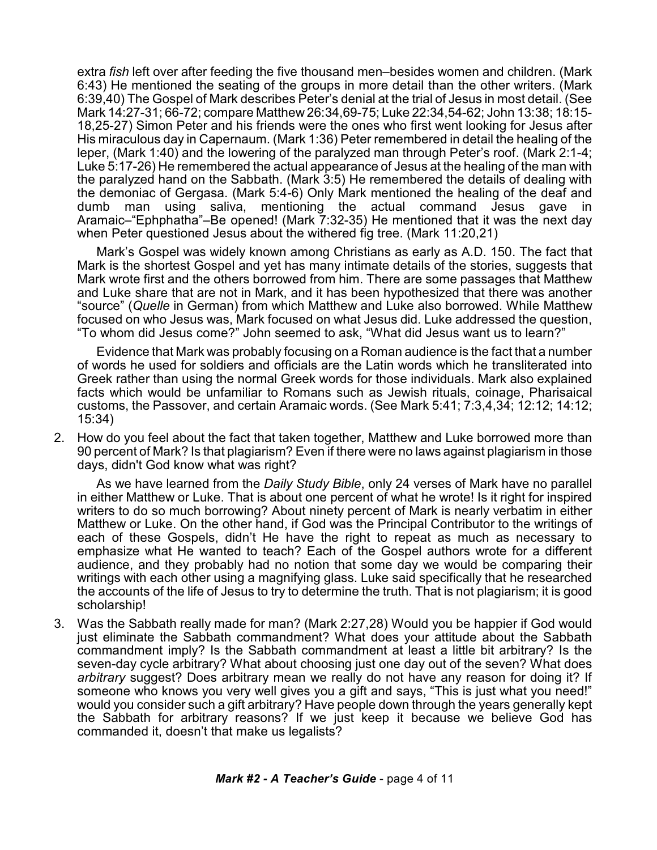extra *fish* left over after feeding the five thousand men–besides women and children. (Mark 6:43) He mentioned the seating of the groups in more detail than the other writers. (Mark 6:39,40) The Gospel of Mark describes Peter's denial at the trial of Jesus in most detail. (See Mark 14:27-31; 66-72; compare Matthew 26:34,69-75; Luke 22:34,54-62; John 13:38; 18:15- 18,25-27) Simon Peter and his friends were the ones who first went looking for Jesus after His miraculous day in Capernaum. (Mark 1:36) Peter remembered in detail the healing of the leper, (Mark 1:40) and the lowering of the paralyzed man through Peter's roof. (Mark 2:1-4; Luke 5:17-26) He remembered the actual appearance of Jesus at the healing of the man with the paralyzed hand on the Sabbath. (Mark 3:5) He remembered the details of dealing with the demoniac of Gergasa. (Mark 5:4-6) Only Mark mentioned the healing of the deaf and dumb man using saliva, mentioning the actual command Jesus gave in Aramaic–"Ephphatha"–Be opened! (Mark 7:32-35) He mentioned that it was the next day when Peter questioned Jesus about the withered fig tree. (Mark 11:20,21)

Mark's Gospel was widely known among Christians as early as A.D. 150. The fact that Mark is the shortest Gospel and yet has many intimate details of the stories, suggests that Mark wrote first and the others borrowed from him. There are some passages that Matthew and Luke share that are not in Mark, and it has been hypothesized that there was another "source" (*Quelle* in German) from which Matthew and Luke also borrowed. While Matthew focused on who Jesus was, Mark focused on what Jesus did. Luke addressed the question, "To whom did Jesus come?" John seemed to ask, "What did Jesus want us to learn?"

Evidence that Mark was probably focusing on a Roman audience is the fact that a number of words he used for soldiers and officials are the Latin words which he transliterated into Greek rather than using the normal Greek words for those individuals. Mark also explained facts which would be unfamiliar to Romans such as Jewish rituals, coinage, Pharisaical customs, the Passover, and certain Aramaic words. (See Mark 5:41; 7:3,4,34; 12:12; 14:12; 15:34)

2. How do you feel about the fact that taken together, Matthew and Luke borrowed more than 90 percent of Mark? Is that plagiarism? Even if there were no laws against plagiarism in those days, didn't God know what was right?

As we have learned from the *Daily Study Bible*, only 24 verses of Mark have no parallel in either Matthew or Luke. That is about one percent of what he wrote! Is it right for inspired writers to do so much borrowing? About ninety percent of Mark is nearly verbatim in either Matthew or Luke. On the other hand, if God was the Principal Contributor to the writings of each of these Gospels, didn't He have the right to repeat as much as necessary to emphasize what He wanted to teach? Each of the Gospel authors wrote for a different audience, and they probably had no notion that some day we would be comparing their writings with each other using a magnifying glass. Luke said specifically that he researched the accounts of the life of Jesus to try to determine the truth. That is not plagiarism; it is good scholarship!

3. Was the Sabbath really made for man? (Mark 2:27,28) Would you be happier if God would just eliminate the Sabbath commandment? What does your attitude about the Sabbath commandment imply? Is the Sabbath commandment at least a little bit arbitrary? Is the seven-day cycle arbitrary? What about choosing just one day out of the seven? What does *arbitrary* suggest? Does arbitrary mean we really do not have any reason for doing it? If someone who knows you very well gives you a gift and says, "This is just what you need!" would you consider such a gift arbitrary? Have people down through the years generally kept the Sabbath for arbitrary reasons? If we just keep it because we believe God has commanded it, doesn't that make us legalists?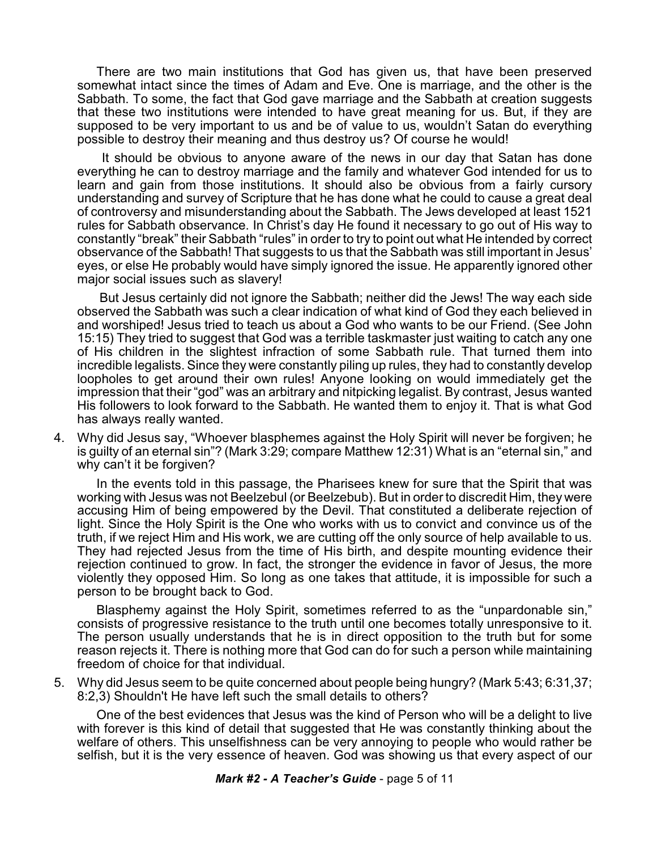There are two main institutions that God has given us, that have been preserved somewhat intact since the times of Adam and Eve. One is marriage, and the other is the Sabbath. To some, the fact that God gave marriage and the Sabbath at creation suggests that these two institutions were intended to have great meaning for us. But, if they are supposed to be very important to us and be of value to us, wouldn't Satan do everything possible to destroy their meaning and thus destroy us? Of course he would!

It should be obvious to anyone aware of the news in our day that Satan has done everything he can to destroy marriage and the family and whatever God intended for us to learn and gain from those institutions. It should also be obvious from a fairly cursory understanding and survey of Scripture that he has done what he could to cause a great deal of controversy and misunderstanding about the Sabbath. The Jews developed at least 1521 rules for Sabbath observance. In Christ's day He found it necessary to go out of His way to constantly "break" their Sabbath "rules" in order to try to point out what He intended by correct observance of the Sabbath! That suggests to us that the Sabbath was still important in Jesus' eyes, or else He probably would have simply ignored the issue. He apparently ignored other major social issues such as slavery!

But Jesus certainly did not ignore the Sabbath; neither did the Jews! The way each side observed the Sabbath was such a clear indication of what kind of God they each believed in and worshiped! Jesus tried to teach us about a God who wants to be our Friend. (See John 15:15) They tried to suggest that God was a terrible taskmaster just waiting to catch any one of His children in the slightest infraction of some Sabbath rule. That turned them into incredible legalists. Since they were constantly piling up rules, they had to constantly develop loopholes to get around their own rules! Anyone looking on would immediately get the impression that their "god" was an arbitrary and nitpicking legalist. By contrast, Jesus wanted His followers to look forward to the Sabbath. He wanted them to enjoy it. That is what God has always really wanted.

4. Why did Jesus say, "Whoever blasphemes against the Holy Spirit will never be forgiven; he is guilty of an eternal sin"? (Mark 3:29; compare Matthew 12:31) What is an "eternal sin," and why can't it be forgiven?

In the events told in this passage, the Pharisees knew for sure that the Spirit that was working with Jesus was not Beelzebul (or Beelzebub). But in order to discredit Him, they were accusing Him of being empowered by the Devil. That constituted a deliberate rejection of light. Since the Holy Spirit is the One who works with us to convict and convince us of the truth, if we reject Him and His work, we are cutting off the only source of help available to us. They had rejected Jesus from the time of His birth, and despite mounting evidence their rejection continued to grow. In fact, the stronger the evidence in favor of Jesus, the more violently they opposed Him. So long as one takes that attitude, it is impossible for such a person to be brought back to God.

Blasphemy against the Holy Spirit, sometimes referred to as the "unpardonable sin," consists of progressive resistance to the truth until one becomes totally unresponsive to it. The person usually understands that he is in direct opposition to the truth but for some reason rejects it. There is nothing more that God can do for such a person while maintaining freedom of choice for that individual.

5. Why did Jesus seem to be quite concerned about people being hungry? (Mark 5:43; 6:31,37; 8:2,3) Shouldn't He have left such the small details to others?

One of the best evidences that Jesus was the kind of Person who will be a delight to live with forever is this kind of detail that suggested that He was constantly thinking about the welfare of others. This unselfishness can be very annoying to people who would rather be selfish, but it is the very essence of heaven. God was showing us that every aspect of our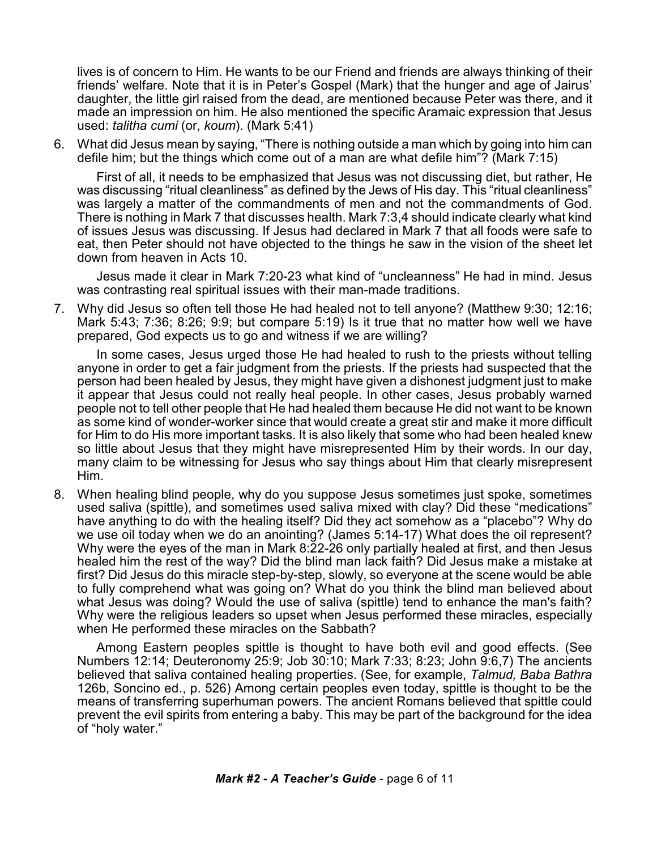lives is of concern to Him. He wants to be our Friend and friends are always thinking of their friends' welfare. Note that it is in Peter's Gospel (Mark) that the hunger and age of Jairus' daughter, the little girl raised from the dead, are mentioned because Peter was there, and it made an impression on him. He also mentioned the specific Aramaic expression that Jesus used: *talitha cumi* (or, *koum*). (Mark 5:41)

6. What did Jesus mean by saying, "There is nothing outside a man which by going into him can defile him; but the things which come out of a man are what defile him"? (Mark 7:15)

First of all, it needs to be emphasized that Jesus was not discussing diet, but rather, He was discussing "ritual cleanliness" as defined by the Jews of His day. This "ritual cleanliness" was largely a matter of the commandments of men and not the commandments of God. There is nothing in Mark 7 that discusses health. Mark 7:3,4 should indicate clearly what kind of issues Jesus was discussing. If Jesus had declared in Mark 7 that all foods were safe to eat, then Peter should not have objected to the things he saw in the vision of the sheet let down from heaven in Acts 10.

Jesus made it clear in Mark 7:20-23 what kind of "uncleanness" He had in mind. Jesus was contrasting real spiritual issues with their man-made traditions.

7. Why did Jesus so often tell those He had healed not to tell anyone? (Matthew 9:30; 12:16; Mark 5:43; 7:36; 8:26; 9:9; but compare 5:19) Is it true that no matter how well we have prepared, God expects us to go and witness if we are willing?

In some cases, Jesus urged those He had healed to rush to the priests without telling anyone in order to get a fair judgment from the priests. If the priests had suspected that the person had been healed by Jesus, they might have given a dishonest judgment just to make it appear that Jesus could not really heal people. In other cases, Jesus probably warned people not to tell other people that He had healed them because He did not want to be known as some kind of wonder-worker since that would create a great stir and make it more difficult for Him to do His more important tasks. It is also likely that some who had been healed knew so little about Jesus that they might have misrepresented Him by their words. In our day, many claim to be witnessing for Jesus who say things about Him that clearly misrepresent Him.

8. When healing blind people, why do you suppose Jesus sometimes just spoke, sometimes used saliva (spittle), and sometimes used saliva mixed with clay? Did these "medications" have anything to do with the healing itself? Did they act somehow as a "placebo"? Why do we use oil today when we do an anointing? (James 5:14-17) What does the oil represent? Why were the eyes of the man in Mark 8:22-26 only partially healed at first, and then Jesus healed him the rest of the way? Did the blind man lack faith? Did Jesus make a mistake at first? Did Jesus do this miracle step-by-step, slowly, so everyone at the scene would be able to fully comprehend what was going on? What do you think the blind man believed about what Jesus was doing? Would the use of saliva (spittle) tend to enhance the man's faith? Why were the religious leaders so upset when Jesus performed these miracles, especially when He performed these miracles on the Sabbath?

Among Eastern peoples spittle is thought to have both evil and good effects. (See Numbers 12:14; Deuteronomy 25:9; Job 30:10; Mark 7:33; 8:23; John 9:6,7) The ancients believed that saliva contained healing properties. (See, for example, *Talmud, Baba Bathra* 126b, Soncino ed., p. 526) Among certain peoples even today, spittle is thought to be the means of transferring superhuman powers. The ancient Romans believed that spittle could prevent the evil spirits from entering a baby. This may be part of the background for the idea of "holy water."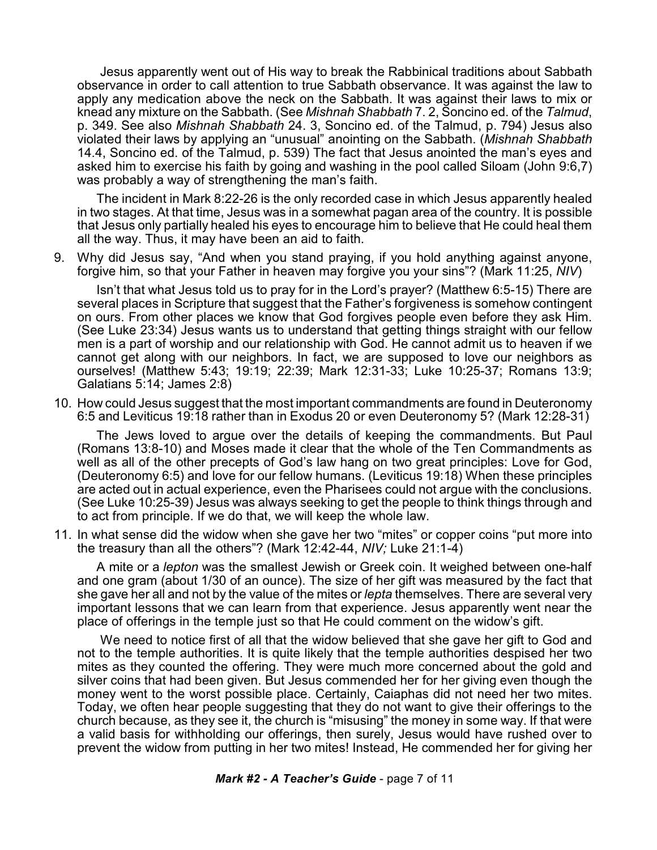Jesus apparently went out of His way to break the Rabbinical traditions about Sabbath observance in order to call attention to true Sabbath observance. It was against the law to apply any medication above the neck on the Sabbath. It was against their laws to mix or knead any mixture on the Sabbath. (See *Mishnah Shabbath* 7. 2, Soncino ed. of the *Talmud*, p. 349. See also *Mishnah Shabbath* 24. 3, Soncino ed. of the Talmud, p. 794) Jesus also violated their laws by applying an "unusual" anointing on the Sabbath. (*Mishnah Shabbath* 14.4, Soncino ed. of the Talmud, p. 539) The fact that Jesus anointed the man's eyes and asked him to exercise his faith by going and washing in the pool called Siloam (John 9:6,7) was probably a way of strengthening the man's faith.

The incident in Mark 8:22-26 is the only recorded case in which Jesus apparently healed in two stages. At that time, Jesus was in a somewhat pagan area of the country. It is possible that Jesus only partially healed his eyes to encourage him to believe that He could heal them all the way. Thus, it may have been an aid to faith.

9. Why did Jesus say, "And when you stand praying, if you hold anything against anyone, forgive him, so that your Father in heaven may forgive you your sins"? (Mark 11:25, *NIV*)

Isn't that what Jesus told us to pray for in the Lord's prayer? (Matthew 6:5-15) There are several places in Scripture that suggest that the Father's forgiveness is somehow contingent on ours. From other places we know that God forgives people even before they ask Him. (See Luke 23:34) Jesus wants us to understand that getting things straight with our fellow men is a part of worship and our relationship with God. He cannot admit us to heaven if we cannot get along with our neighbors. In fact, we are supposed to love our neighbors as ourselves! (Matthew 5:43; 19:19; 22:39; Mark 12:31-33; Luke 10:25-37; Romans 13:9; Galatians 5:14; James 2:8)

10. How could Jesus suggest that the most important commandments are found in Deuteronomy 6:5 and Leviticus 19:18 rather than in Exodus 20 or even Deuteronomy 5? (Mark 12:28-31)

The Jews loved to argue over the details of keeping the commandments. But Paul (Romans 13:8-10) and Moses made it clear that the whole of the Ten Commandments as well as all of the other precepts of God's law hang on two great principles: Love for God, (Deuteronomy 6:5) and love for our fellow humans. (Leviticus 19:18) When these principles are acted out in actual experience, even the Pharisees could not argue with the conclusions. (See Luke 10:25-39) Jesus was always seeking to get the people to think things through and to act from principle. If we do that, we will keep the whole law.

11. In what sense did the widow when she gave her two "mites" or copper coins "put more into the treasury than all the others"? (Mark 12:42-44, *NIV;* Luke 21:1-4)

A mite or a *lepton* was the smallest Jewish or Greek coin. It weighed between one-half and one gram (about 1/30 of an ounce). The size of her gift was measured by the fact that she gave her all and not by the value of the mites or *lepta* themselves. There are several very important lessons that we can learn from that experience. Jesus apparently went near the place of offerings in the temple just so that He could comment on the widow's gift.

We need to notice first of all that the widow believed that she gave her gift to God and not to the temple authorities. It is quite likely that the temple authorities despised her two mites as they counted the offering. They were much more concerned about the gold and silver coins that had been given. But Jesus commended her for her giving even though the money went to the worst possible place. Certainly, Caiaphas did not need her two mites. Today, we often hear people suggesting that they do not want to give their offerings to the church because, as they see it, the church is "misusing" the money in some way. If that were a valid basis for withholding our offerings, then surely, Jesus would have rushed over to prevent the widow from putting in her two mites! Instead, He commended her for giving her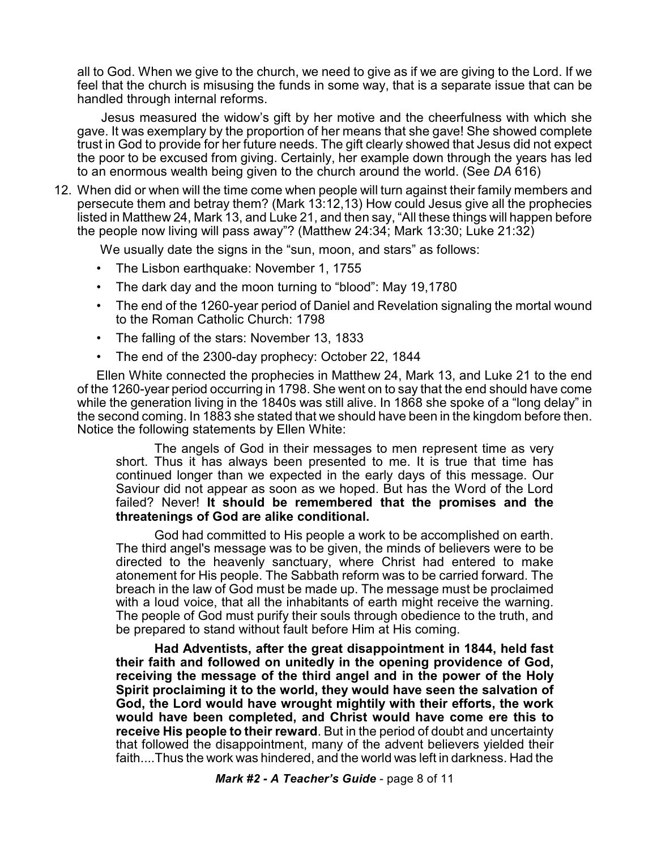all to God. When we give to the church, we need to give as if we are giving to the Lord. If we feel that the church is misusing the funds in some way, that is a separate issue that can be handled through internal reforms.

Jesus measured the widow's gift by her motive and the cheerfulness with which she gave. It was exemplary by the proportion of her means that she gave! She showed complete trust in God to provide for her future needs. The gift clearly showed that Jesus did not expect the poor to be excused from giving. Certainly, her example down through the years has led to an enormous wealth being given to the church around the world. (See *DA* 616)

12. When did or when will the time come when people will turn against their family members and persecute them and betray them? (Mark 13:12,13) How could Jesus give all the prophecies listed in Matthew 24, Mark 13, and Luke 21, and then say, "All these things will happen before the people now living will pass away"? (Matthew 24:34; Mark 13:30; Luke 21:32)

We usually date the signs in the "sun, moon, and stars" as follows:

- The Lisbon earthquake: November 1, 1755
- The dark day and the moon turning to "blood": May 19,1780
- The end of the 1260-year period of Daniel and Revelation signaling the mortal wound to the Roman Catholic Church: 1798
- The falling of the stars: November 13, 1833
- The end of the 2300-day prophecy: October 22, 1844

Ellen White connected the prophecies in Matthew 24, Mark 13, and Luke 21 to the end of the 1260-year period occurring in 1798. She went on to say that the end should have come while the generation living in the 1840s was still alive. In 1868 she spoke of a "long delay" in the second coming. In 1883 she stated that we should have been in the kingdom before then. Notice the following statements by Ellen White:

The angels of God in their messages to men represent time as very short. Thus it has always been presented to me. It is true that time has continued longer than we expected in the early days of this message. Our Saviour did not appear as soon as we hoped. But has the Word of the Lord failed? Never! **It should be remembered that the promises and the threatenings of God are alike conditional.** 

God had committed to His people a work to be accomplished on earth. The third angel's message was to be given, the minds of believers were to be directed to the heavenly sanctuary, where Christ had entered to make atonement for His people. The Sabbath reform was to be carried forward. The breach in the law of God must be made up. The message must be proclaimed with a loud voice, that all the inhabitants of earth might receive the warning. The people of God must purify their souls through obedience to the truth, and be prepared to stand without fault before Him at His coming.

**Had Adventists, after the great disappointment in 1844, held fast their faith and followed on unitedly in the opening providence of God, receiving the message of the third angel and in the power of the Holy Spirit proclaiming it to the world, they would have seen the salvation of God, the Lord would have wrought mightily with their efforts, the work would have been completed, and Christ would have come ere this to receive His people to their reward**. But in the period of doubt and uncertainty that followed the disappointment, many of the advent believers yielded their faith....Thus the work was hindered, and the world was left in darkness. Had the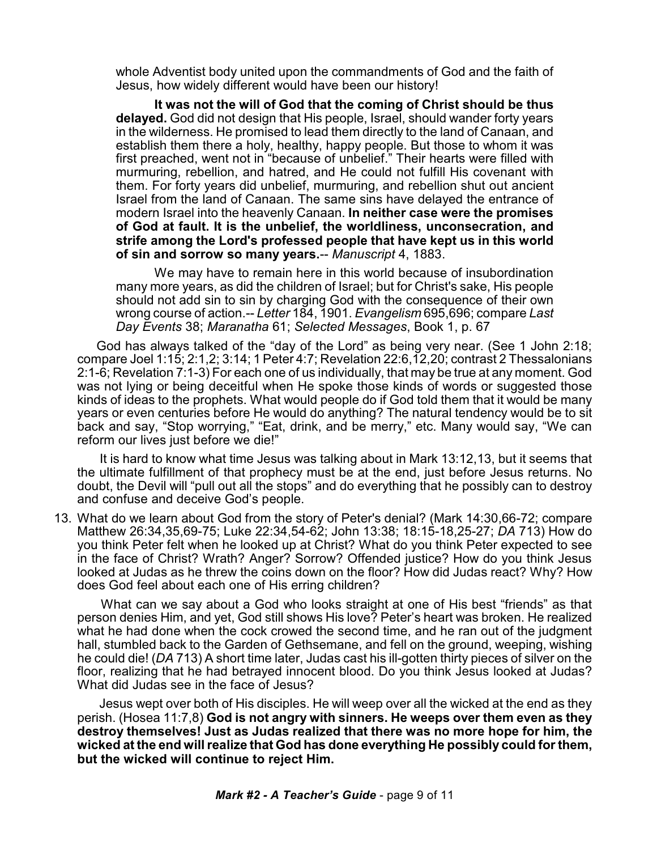whole Adventist body united upon the commandments of God and the faith of Jesus, how widely different would have been our history!

**It was not the will of God that the coming of Christ should be thus delayed.** God did not design that His people, Israel, should wander forty years in the wilderness. He promised to lead them directly to the land of Canaan, and establish them there a holy, healthy, happy people. But those to whom it was first preached, went not in "because of unbelief." Their hearts were filled with murmuring, rebellion, and hatred, and He could not fulfill His covenant with them. For forty years did unbelief, murmuring, and rebellion shut out ancient Israel from the land of Canaan. The same sins have delayed the entrance of modern Israel into the heavenly Canaan. **In neither case were the promises of God at fault. It is the unbelief, the worldliness, unconsecration, and strife among the Lord's professed people that have kept us in this world of sin and sorrow so many years.**-- *Manuscript* 4, 1883.

We may have to remain here in this world because of insubordination many more years, as did the children of Israel; but for Christ's sake, His people should not add sin to sin by charging God with the consequence of their own wrong course of action.-- *Letter* 184, 1901. *Evangelism* 695,696; compare *Last Day Events* 38; *Maranatha* 61; *Selected Messages*, Book 1, p. 67

God has always talked of the "day of the Lord" as being very near. (See 1 John 2:18; compare Joel 1:15; 2:1,2; 3:14; 1 Peter 4:7; Revelation 22:6,12,20; contrast 2 Thessalonians 2:1-6; Revelation 7:1-3) For each one of us individually, that may be true at any moment. God was not lying or being deceitful when He spoke those kinds of words or suggested those kinds of ideas to the prophets. What would people do if God told them that it would be many years or even centuries before He would do anything? The natural tendency would be to sit back and say, "Stop worrying," "Eat, drink, and be merry," etc. Many would say, "We can reform our lives just before we die!"

It is hard to know what time Jesus was talking about in Mark 13:12,13, but it seems that the ultimate fulfillment of that prophecy must be at the end, just before Jesus returns. No doubt, the Devil will "pull out all the stops" and do everything that he possibly can to destroy and confuse and deceive God's people.

13. What do we learn about God from the story of Peter's denial? (Mark 14:30,66-72; compare Matthew 26:34,35,69-75; Luke 22:34,54-62; John 13:38; 18:15-18,25-27; *DA* 713) How do you think Peter felt when he looked up at Christ? What do you think Peter expected to see in the face of Christ? Wrath? Anger? Sorrow? Offended justice? How do you think Jesus looked at Judas as he threw the coins down on the floor? How did Judas react? Why? How does God feel about each one of His erring children?

What can we say about a God who looks straight at one of His best "friends" as that person denies Him, and yet, God still shows His love? Peter's heart was broken. He realized what he had done when the cock crowed the second time, and he ran out of the judgment hall, stumbled back to the Garden of Gethsemane, and fell on the ground, weeping, wishing he could die! (*DA* 713) A short time later, Judas cast his ill-gotten thirty pieces of silver on the floor, realizing that he had betrayed innocent blood. Do you think Jesus looked at Judas? What did Judas see in the face of Jesus?

Jesus wept over both of His disciples. He will weep over all the wicked at the end as they perish. (Hosea 11:7,8) **God is not angry with sinners. He weeps over them even as they destroy themselves! Just as Judas realized that there was no more hope for him, the wicked at the end will realize that God has done everything He possibly could for them, but the wicked will continue to reject Him.**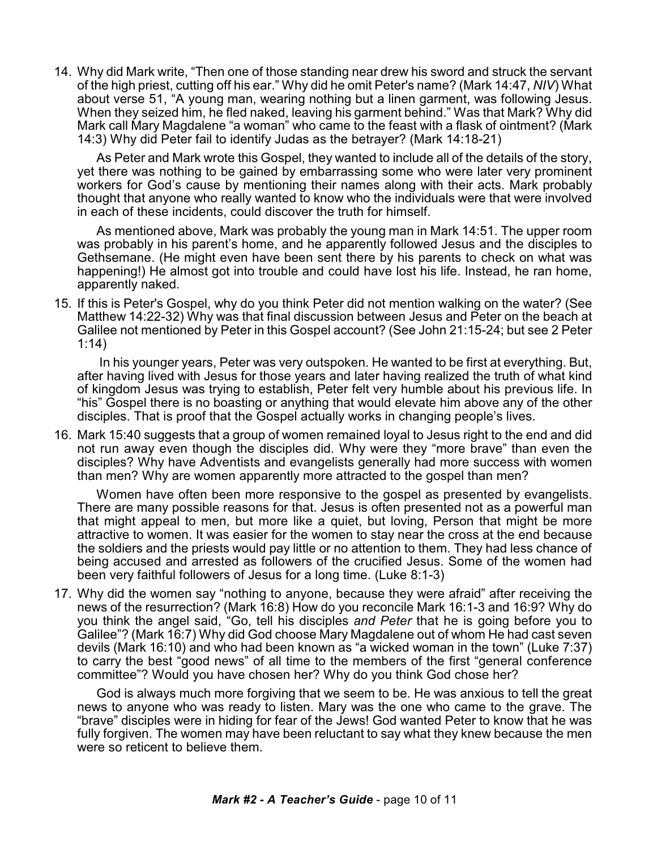14. Why did Mark write, "Then one of those standing near drew his sword and struck the servant of the high priest, cutting off his ear." Why did he omit Peter's name? (Mark 14:47, *NIV*) What about verse 51, "A young man, wearing nothing but a linen garment, was following Jesus. When they seized him, he fled naked, leaving his garment behind." Was that Mark? Why did Mark call Mary Magdalene "a woman" who came to the feast with a flask of ointment? (Mark 14:3) Why did Peter fail to identify Judas as the betrayer? (Mark 14:18-21)

As Peter and Mark wrote this Gospel, they wanted to include all of the details of the story, yet there was nothing to be gained by embarrassing some who were later very prominent workers for God's cause by mentioning their names along with their acts. Mark probably thought that anyone who really wanted to know who the individuals were that were involved in each of these incidents, could discover the truth for himself.

As mentioned above, Mark was probably the young man in Mark 14:51. The upper room was probably in his parent's home, and he apparently followed Jesus and the disciples to Gethsemane. (He might even have been sent there by his parents to check on what was happening!) He almost got into trouble and could have lost his life. Instead, he ran home, apparently naked.

15. If this is Peter's Gospel, why do you think Peter did not mention walking on the water? (See Matthew 14:22-32) Why was that final discussion between Jesus and Peter on the beach at Galilee not mentioned by Peter in this Gospel account? (See John 21:15-24; but see 2 Peter 1:14)

In his younger years, Peter was very outspoken. He wanted to be first at everything. But, after having lived with Jesus for those years and later having realized the truth of what kind of kingdom Jesus was trying to establish, Peter felt very humble about his previous life. In "his" Gospel there is no boasting or anything that would elevate him above any of the other disciples. That is proof that the Gospel actually works in changing people's lives.

16. Mark 15:40 suggests that a group of women remained loyal to Jesus right to the end and did not run away even though the disciples did. Why were they "more brave" than even the disciples? Why have Adventists and evangelists generally had more success with women than men? Why are women apparently more attracted to the gospel than men?

Women have often been more responsive to the gospel as presented by evangelists. There are many possible reasons for that. Jesus is often presented not as a powerful man that might appeal to men, but more like a quiet, but loving, Person that might be more attractive to women. It was easier for the women to stay near the cross at the end because the soldiers and the priests would pay little or no attention to them. They had less chance of being accused and arrested as followers of the crucified Jesus. Some of the women had been very faithful followers of Jesus for a long time. (Luke 8:1-3)

17. Why did the women say "nothing to anyone, because they were afraid" after receiving the news of the resurrection? (Mark 16:8) How do you reconcile Mark 16:1-3 and 16:9? Why do you think the angel said, "Go, tell his disciples *and Peter* that he is going before you to Galilee"? (Mark 16:7) Why did God choose Mary Magdalene out of whom He had cast seven devils (Mark 16:10) and who had been known as "a wicked woman in the town" (Luke 7:37) to carry the best "good news" of all time to the members of the first "general conference committee"? Would you have chosen her? Why do you think God chose her?

God is always much more forgiving that we seem to be. He was anxious to tell the great news to anyone who was ready to listen. Mary was the one who came to the grave. The "brave" disciples were in hiding for fear of the Jews! God wanted Peter to know that he was fully forgiven. The women may have been reluctant to say what they knew because the men were so reticent to believe them.